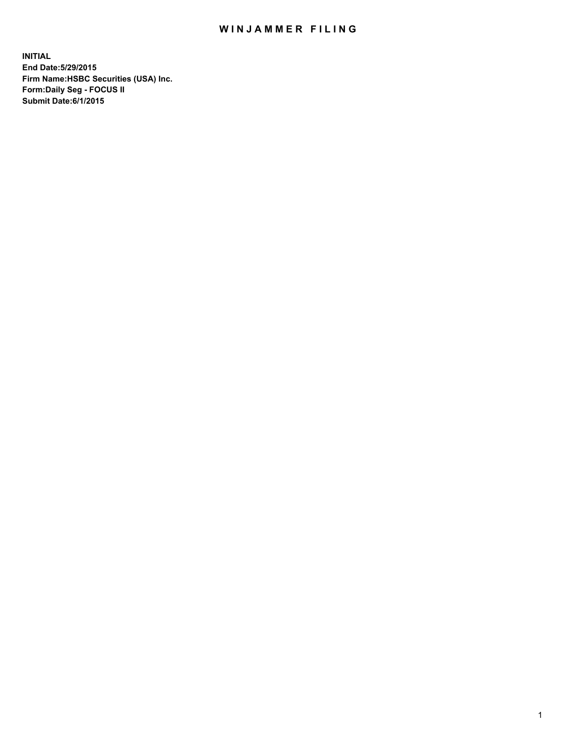## WIN JAMMER FILING

**INITIAL End Date:5/29/2015 Firm Name:HSBC Securities (USA) Inc. Form:Daily Seg - FOCUS II Submit Date:6/1/2015**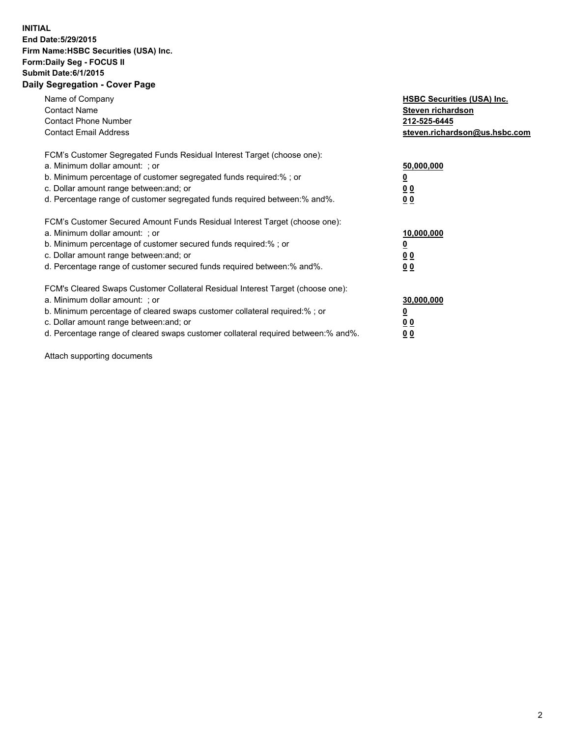## **INITIAL End Date:5/29/2015 Firm Name:HSBC Securities (USA) Inc. Form:Daily Seg - FOCUS II Submit Date:6/1/2015 Daily Segregation - Cover Page**

| Name of Company<br><b>Contact Name</b><br><b>Contact Phone Number</b><br><b>Contact Email Address</b>                                                                                                                                                                                                                         | <b>HSBC Securities (USA) Inc.</b><br>Steven richardson<br>212-525-6445<br>steven.richardson@us.hsbc.com |
|-------------------------------------------------------------------------------------------------------------------------------------------------------------------------------------------------------------------------------------------------------------------------------------------------------------------------------|---------------------------------------------------------------------------------------------------------|
| FCM's Customer Segregated Funds Residual Interest Target (choose one):<br>a. Minimum dollar amount: ; or<br>b. Minimum percentage of customer segregated funds required:% ; or<br>c. Dollar amount range between: and; or<br>d. Percentage range of customer segregated funds required between: % and %.                      | 50,000,000<br>0 <sub>0</sub><br>00                                                                      |
| FCM's Customer Secured Amount Funds Residual Interest Target (choose one):<br>a. Minimum dollar amount: ; or<br>b. Minimum percentage of customer secured funds required:%; or<br>c. Dollar amount range between: and; or<br>d. Percentage range of customer secured funds required between: % and %.                         | 10,000,000<br>00<br>00                                                                                  |
| FCM's Cleared Swaps Customer Collateral Residual Interest Target (choose one):<br>a. Minimum dollar amount: ; or<br>b. Minimum percentage of cleared swaps customer collateral required:%; or<br>c. Dollar amount range between: and; or<br>d. Percentage range of cleared swaps customer collateral required between:% and%. | 30,000,000<br>0 <sub>0</sub><br>00                                                                      |

Attach supporting documents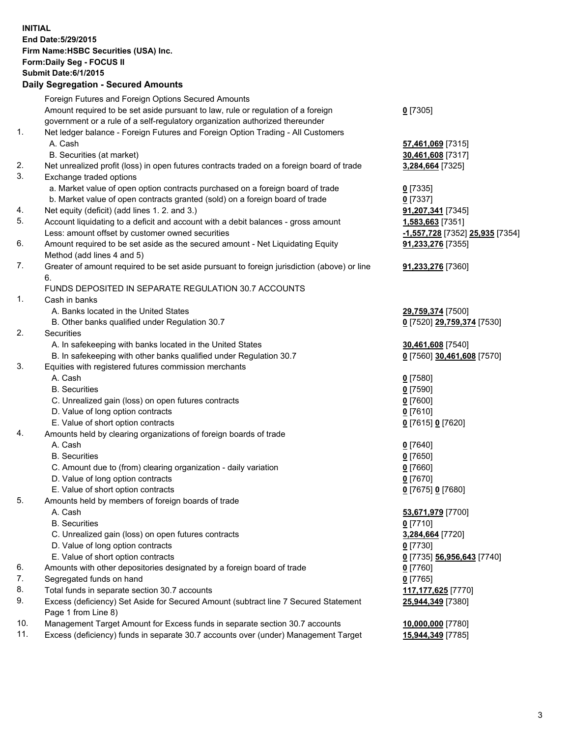**INITIAL End Date:5/29/2015 Firm Name:HSBC Securities (USA) Inc. Form:Daily Seg - FOCUS II Submit Date:6/1/2015 Daily Segregation - Secured Amounts** Foreign Futures and Foreign Options Secured Amounts Amount required to be set aside pursuant to law, rule or regulation of a foreign government or a rule of a self-regulatory organization authorized thereunder **0** [7305] 1. Net ledger balance - Foreign Futures and Foreign Option Trading - All Customers A. Cash **57,461,069** [7315] B. Securities (at market) **30,461,608** [7317] 2. Net unrealized profit (loss) in open futures contracts traded on a foreign board of trade **3,284,664** [7325] 3. Exchange traded options a. Market value of open option contracts purchased on a foreign board of trade **0** [7335] b. Market value of open contracts granted (sold) on a foreign board of trade **0** [7337] 4. Net equity (deficit) (add lines 1. 2. and 3.) **91,207,341** [7345] 5. Account liquidating to a deficit and account with a debit balances - gross amount **1,583,663** [7351] Less: amount offset by customer owned securities **-1,557,728** [7352] **25,935** [7354] 6. Amount required to be set aside as the secured amount - Net Liquidating Equity Method (add lines 4 and 5) **91,233,276** [7355] 7. Greater of amount required to be set aside pursuant to foreign jurisdiction (above) or line 6. **91,233,276** [7360] FUNDS DEPOSITED IN SEPARATE REGULATION 30.7 ACCOUNTS 1. Cash in banks A. Banks located in the United States **29,759,374** [7500] B. Other banks qualified under Regulation 30.7 **0** [7520] **29,759,374** [7530] 2. Securities A. In safekeeping with banks located in the United States **30,461,608** [7540] B. In safekeeping with other banks qualified under Regulation 30.7 **0** [7560] **30,461,608** [7570] 3. Equities with registered futures commission merchants A. Cash **0** [7580] B. Securities **0** [7590] C. Unrealized gain (loss) on open futures contracts **0** [7600] D. Value of long option contracts **0** [7610] E. Value of short option contracts **0** [7615] **0** [7620] 4. Amounts held by clearing organizations of foreign boards of trade A. Cash **0** [7640] B. Securities **0** [7650] C. Amount due to (from) clearing organization - daily variation **0** [7660] D. Value of long option contracts **0** [7670] E. Value of short option contracts **0** [7675] **0** [7680] 5. Amounts held by members of foreign boards of trade A. Cash **53,671,979** [7700] B. Securities **0** [7710] C. Unrealized gain (loss) on open futures contracts **3,284,664** [7720] D. Value of long option contracts **0** [7730] E. Value of short option contracts **0** [7735] **56,956,643** [7740] 6. Amounts with other depositories designated by a foreign board of trade **0** [7760] 7. Segregated funds on hand **0** [7765] 8. Total funds in separate section 30.7 accounts **117,177,625** [7770] 9. Excess (deficiency) Set Aside for Secured Amount (subtract line 7 Secured Statement Page 1 from Line 8) **25,944,349** [7380] 10. Management Target Amount for Excess funds in separate section 30.7 accounts **10,000,000** [7780] 11. Excess (deficiency) funds in separate 30.7 accounts over (under) Management Target **15,944,349** [7785]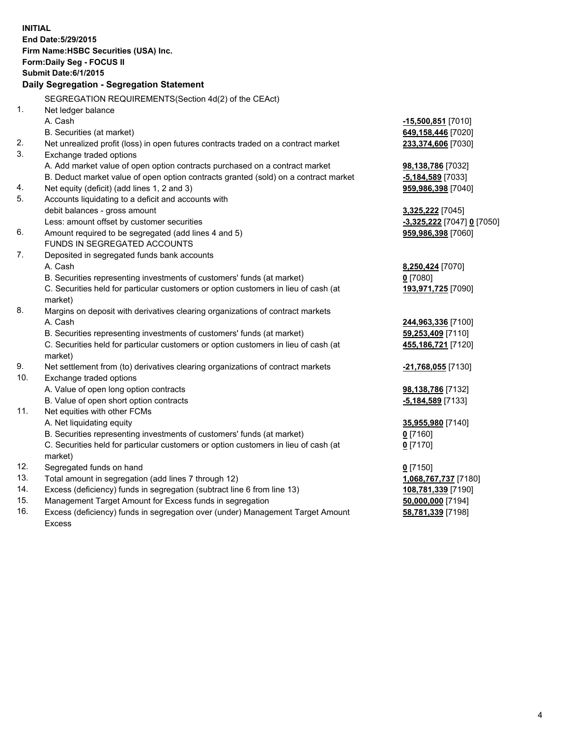| <b>INITIAL</b> | End Date: 5/29/2015<br>Firm Name: HSBC Securities (USA) Inc.<br>Form: Daily Seg - FOCUS II<br><b>Submit Date:6/1/2015</b><br>Daily Segregation - Segregation Statement |                            |
|----------------|------------------------------------------------------------------------------------------------------------------------------------------------------------------------|----------------------------|
|                | SEGREGATION REQUIREMENTS(Section 4d(2) of the CEAct)                                                                                                                   |                            |
| 1.             | Net ledger balance                                                                                                                                                     |                            |
|                | A. Cash                                                                                                                                                                | -15,500,851 [7010]         |
|                | B. Securities (at market)                                                                                                                                              | 649,158,446 [7020]         |
| 2.             | Net unrealized profit (loss) in open futures contracts traded on a contract market                                                                                     | 233,374,606 [7030]         |
| 3.             | Exchange traded options                                                                                                                                                |                            |
|                | A. Add market value of open option contracts purchased on a contract market                                                                                            | 98,138,786 [7032]          |
|                | B. Deduct market value of open option contracts granted (sold) on a contract market                                                                                    | <u>-5,184,589</u> [7033]   |
| 4.             | Net equity (deficit) (add lines 1, 2 and 3)                                                                                                                            | 959,986,398 [7040]         |
| 5.             | Accounts liquidating to a deficit and accounts with                                                                                                                    |                            |
|                | debit balances - gross amount                                                                                                                                          | 3,325,222 [7045]           |
|                | Less: amount offset by customer securities                                                                                                                             | -3,325,222 [7047] 0 [7050] |
| 6.             | Amount required to be segregated (add lines 4 and 5)                                                                                                                   | 959,986,398 [7060]         |
|                | FUNDS IN SEGREGATED ACCOUNTS                                                                                                                                           |                            |
| 7.             | Deposited in segregated funds bank accounts                                                                                                                            |                            |
|                | A. Cash                                                                                                                                                                | 8,250,424 [7070]           |
|                | B. Securities representing investments of customers' funds (at market)                                                                                                 | $0$ [7080]                 |
|                | C. Securities held for particular customers or option customers in lieu of cash (at<br>market)                                                                         | 193,971,725 [7090]         |
| 8.             | Margins on deposit with derivatives clearing organizations of contract markets                                                                                         |                            |
|                | A. Cash                                                                                                                                                                | 244,963,336 [7100]         |
|                | B. Securities representing investments of customers' funds (at market)                                                                                                 | 59,253,409 [7110]          |
|                | C. Securities held for particular customers or option customers in lieu of cash (at<br>market)                                                                         | 455,186,721 [7120]         |
| 9.             | Net settlement from (to) derivatives clearing organizations of contract markets                                                                                        | -21,768,055 [7130]         |
| 10.            | Exchange traded options                                                                                                                                                |                            |
|                | A. Value of open long option contracts                                                                                                                                 | 98,138,786 [7132]          |
|                | B. Value of open short option contracts                                                                                                                                | $-5,184,589$ [7133]        |
| 11.            | Net equities with other FCMs                                                                                                                                           |                            |
|                | A. Net liquidating equity                                                                                                                                              | 35,955,980 [7140]          |
|                | B. Securities representing investments of customers' funds (at market)                                                                                                 | $0$ [7160]                 |
|                | C. Securities held for particular customers or option customers in lieu of cash (at<br>market)                                                                         | 0 <sup>[7170]</sup>        |
| 12.            | Segregated funds on hand                                                                                                                                               | $0$ [7150]                 |
| 13.            | Total amount in segregation (add lines 7 through 12)                                                                                                                   | 1,068,767,737 [7180]       |
| 14.            | Excess (deficiency) funds in segregation (subtract line 6 from line 13)                                                                                                | 108,781,339 [7190]         |
| 15.            | Management Target Amount for Excess funds in segregation                                                                                                               | 50,000,000 [7194]          |
| 16.            | Excess (deficiency) funds in segregation over (under) Management Target Amount                                                                                         | 58,781,339 [7198]          |
|                | <b>Excess</b>                                                                                                                                                          |                            |